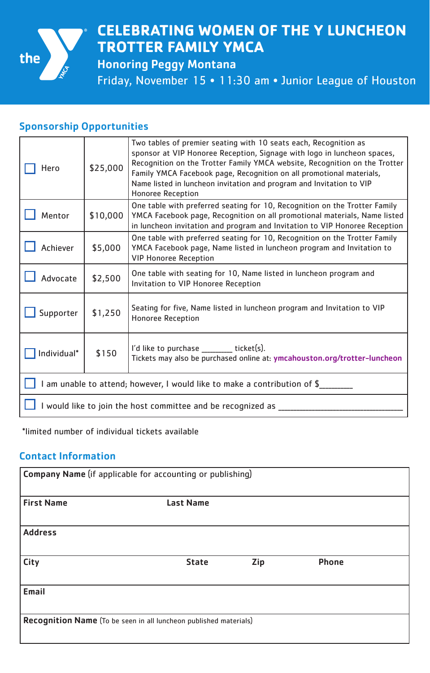

# **CELEBRATING WOMEN OF THE Y LUNCHEON TROTTER FAMILY YMCA**

Honoring Peggy Montana

Friday, November 15 • 11:30 am • Junior League of Houston

### Sponsorship Opportunities

| Hero                                                                      | \$25,000 | Two tables of premier seating with 10 seats each, Recognition as<br>sponsor at VIP Honoree Reception, Signage with logo in luncheon spaces,<br>Recognition on the Trotter Family YMCA website, Recognition on the Trotter<br>Family YMCA Facebook page, Recognition on all promotional materials,<br>Name listed in luncheon invitation and program and Invitation to VIP<br>Honoree Reception |  |  |
|---------------------------------------------------------------------------|----------|------------------------------------------------------------------------------------------------------------------------------------------------------------------------------------------------------------------------------------------------------------------------------------------------------------------------------------------------------------------------------------------------|--|--|
| Mentor                                                                    | \$10,000 | One table with preferred seating for 10, Recognition on the Trotter Family<br>YMCA Facebook page, Recognition on all promotional materials, Name listed<br>in luncheon invitation and program and Invitation to VIP Honoree Reception                                                                                                                                                          |  |  |
| Achiever                                                                  | \$5,000  | One table with preferred seating for 10, Recognition on the Trotter Family<br>YMCA Facebook page, Name listed in luncheon program and Invitation to<br><b>VIP Honoree Reception</b>                                                                                                                                                                                                            |  |  |
| Advocate                                                                  | \$2,500  | One table with seating for 10, Name listed in luncheon program and<br>Invitation to VIP Honoree Reception                                                                                                                                                                                                                                                                                      |  |  |
| Supporter                                                                 | \$1,250  | Seating for five, Name listed in luncheon program and Invitation to VIP<br>Honoree Reception                                                                                                                                                                                                                                                                                                   |  |  |
| Individual*                                                               | \$150    | I'd like to purchase ______ ticket(s).<br>Tickets may also be purchased online at: ymcahouston.org/trotter-luncheon                                                                                                                                                                                                                                                                            |  |  |
| I am unable to attend; however, I would like to make a contribution of \$ |          |                                                                                                                                                                                                                                                                                                                                                                                                |  |  |
| I would like to join the host committee and be recognized as              |          |                                                                                                                                                                                                                                                                                                                                                                                                |  |  |

\*limited number of individual tickets available

#### Contact Information

| Company Name (if applicable for accounting or publishing)         |                  |     |              |  |
|-------------------------------------------------------------------|------------------|-----|--------------|--|
| <b>First Name</b>                                                 | <b>Last Name</b> |     |              |  |
| <b>Address</b>                                                    |                  |     |              |  |
| City                                                              | <b>State</b>     | Zip | <b>Phone</b> |  |
| Email                                                             |                  |     |              |  |
| Recognition Name (To be seen in all luncheon published materials) |                  |     |              |  |